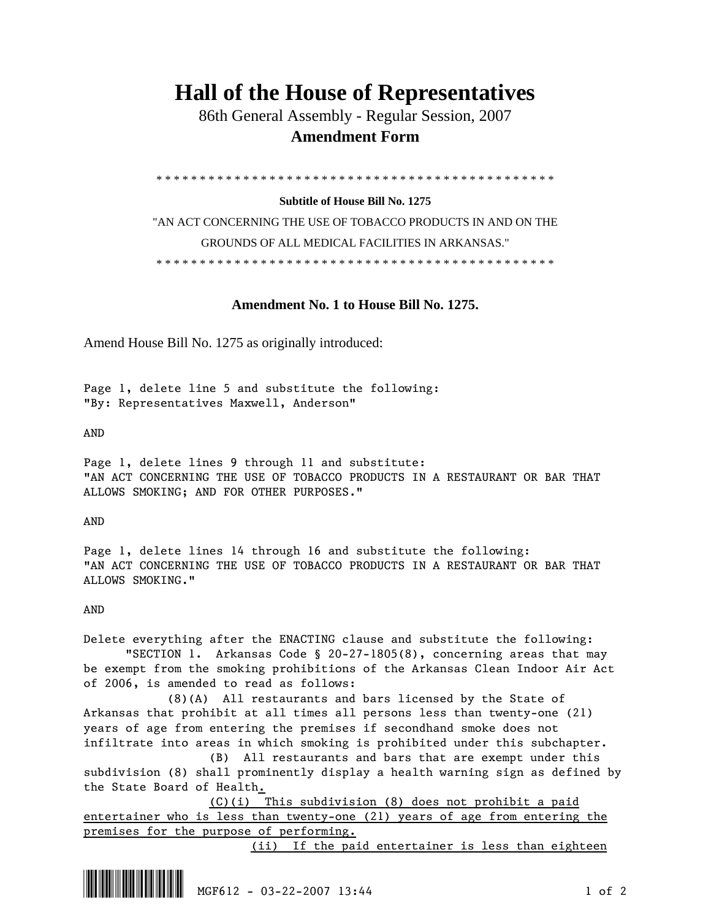# **Hall of the House of Representatives**

 86th General Assembly - Regular Session, 2007  **Amendment Form** 

\* \* \* \* \* \* \* \* \* \* \* \* \* \* \* \* \* \* \* \* \* \* \* \* \* \* \* \* \* \* \* \* \* \* \* \* \* \* \* \* \* \* \* \* \* \*

### **Subtitle of House Bill No. 1275**

"AN ACT CONCERNING THE USE OF TOBACCO PRODUCTS IN AND ON THE GROUNDS OF ALL MEDICAL FACILITIES IN ARKANSAS." \* \* \* \* \* \* \* \* \* \* \* \* \* \* \* \* \* \* \* \* \* \* \* \* \* \* \* \* \* \* \* \* \* \* \* \* \* \* \* \* \* \* \* \* \* \*

## **Amendment No. 1 to House Bill No. 1275.**

Amend House Bill No. 1275 as originally introduced:

Page 1, delete line 5 and substitute the following: "By: Representatives Maxwell, Anderson"

AND

Page 1, delete lines 9 through 11 and substitute: "AN ACT CONCERNING THE USE OF TOBACCO PRODUCTS IN A RESTAURANT OR BAR THAT ALLOWS SMOKING; AND FOR OTHER PURPOSES."

AND

Page 1, delete lines 14 through 16 and substitute the following: "AN ACT CONCERNING THE USE OF TOBACCO PRODUCTS IN A RESTAURANT OR BAR THAT ALLOWS SMOKING."

### AND

Delete everything after the ENACTING clause and substitute the following: "SECTION 1. Arkansas Code § 20-27-1805(8), concerning areas that may be exempt from the smoking prohibitions of the Arkansas Clean Indoor Air Act of 2006, is amended to read as follows:

 (8)(A) All restaurants and bars licensed by the State of Arkansas that prohibit at all times all persons less than twenty-one (21) years of age from entering the premises if secondhand smoke does not infiltrate into areas in which smoking is prohibited under this subchapter.

 (B) All restaurants and bars that are exempt under this subdivision (8) shall prominently display a health warning sign as defined by the State Board of Health.

 (C)(i) This subdivision (8) does not prohibit a paid entertainer who is less than twenty-one (21) years of age from entering the premises for the purpose of performing.

(ii) If the paid entertainer is less than eighteen